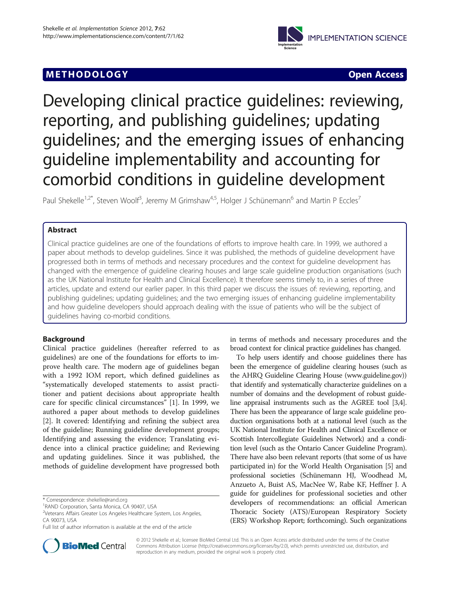## **METHODOLOGY CONSUMING ACCESS**



# Developing clinical practice guidelines: reviewing, reporting, and publishing guidelines; updating guidelines; and the emerging issues of enhancing guideline implementability and accounting for comorbid conditions in guideline development

Paul Shekelle<sup>1,2\*</sup>, Steven Woolf<sup>3</sup>, Jeremy M Grimshaw<sup>4,5</sup>, Holger J Schünemann<sup>6</sup> and Martin P Eccles<sup>7</sup>

## Abstract

Clinical practice guidelines are one of the foundations of efforts to improve health care. In 1999, we authored a paper about methods to develop guidelines. Since it was published, the methods of guideline development have progressed both in terms of methods and necessary procedures and the context for guideline development has changed with the emergence of guideline clearing houses and large scale guideline production organisations (such as the UK National Institute for Health and Clinical Excellence). It therefore seems timely to, in a series of three articles, update and extend our earlier paper. In this third paper we discuss the issues of: reviewing, reporting, and publishing guidelines; updating guidelines; and the two emerging issues of enhancing guideline implementability and how guideline developers should approach dealing with the issue of patients who will be the subject of guidelines having co-morbid conditions.

## Background

Clinical practice guidelines (hereafter referred to as guidelines) are one of the foundations for efforts to improve health care. The modern age of guidelines began with a 1992 IOM report, which defined guidelines as "systematically developed statements to assist practitioner and patient decisions about appropriate health care for specific clinical circumstances" [[1](#page-6-0)]. In 1999, we authored a paper about methods to develop guidelines [[2\]](#page-6-0). It covered: Identifying and refining the subject area of the guideline; Running guideline development groups; Identifying and assessing the evidence; Translating evidence into a clinical practice guideline; and Reviewing and updating guidelines. Since it was published, the methods of guideline development have progressed both

in terms of methods and necessary procedures and the broad context for clinical practice guidelines has changed.

To help users identify and choose guidelines there has been the emergence of guideline clearing houses (such as the AHRQ Guideline Clearing House [\(www.guideline.gov](http://www.guideline.gov))) that identify and systematically characterize guidelines on a number of domains and the development of robust guideline appraisal instruments such as the AGREE tool [\[3,4](#page-6-0)]. There has been the appearance of large scale guideline production organisations both at a national level (such as the UK National Institute for Health and Clinical Excellence or Scottish Intercollegiate Guidelines Network) and a condition level (such as the Ontario Cancer Guideline Program). There have also been relevant reports (that some of us have participated in) for the World Health Organisation [\[5\]](#page-6-0) and professional societies (Schünemann HJ, Woodhead M, Anzueto A, Buist AS, MacNee W, Rabe KF, Heffner J. A guide for guidelines for professional societies and other developers of recommendations: an official American Thoracic Society (ATS)/European Respiratory Society (ERS) Workshop Report; forthcoming). Such organizations



© 2012 Shekelle et al.; licensee BioMed Central Ltd. This is an Open Access article distributed under the terms of the Creative Commons Attribution License [\(http://creativecommons.org/licenses/by/2.0\)](http://creativecommons.org/licenses/by/2.0), which permits unrestricted use, distribution, and reproduction in any medium, provided the original work is properly cited.

<sup>\*</sup> Correspondence: [shekelle@rand.org](mailto:shekelle@rand.org) <sup>1</sup>

<sup>&</sup>lt;sup>1</sup>RAND Corporation, Santa Monica, CA 90407, USA

<sup>&</sup>lt;sup>2</sup>Veterans Affairs Greater Los Angeles Healthcare System, Los Angeles, CA 90073, USA

Full list of author information is available at the end of the article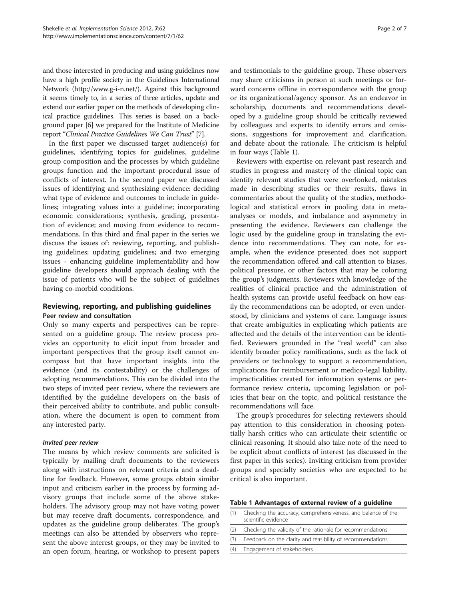and those interested in producing and using guidelines now have a high profile society in the Guidelines International Network [\(http://www.g-i-n.net/\)](http://www.g-i-n.net/). Against this background it seems timely to, in a series of three articles, update and extend our earlier paper on the methods of developing clinical practice guidelines. This series is based on a background paper [\[6\]](#page-6-0) we prepared for the Institute of Medicine report "Clinical Practice Guidelines We Can Trust" [\[7](#page-6-0)].

In the first paper we discussed target audience(s) for guidelines, identifying topics for guidelines, guideline group composition and the processes by which guideline groups function and the important procedural issue of conflicts of interest. In the second paper we discussed issues of identifying and synthesizing evidence: deciding what type of evidence and outcomes to include in guidelines; integrating values into a guideline; incorporating economic considerations; synthesis, grading, presentation of evidence; and moving from evidence to recommendations. In this third and final paper in the series we discuss the issues of: reviewing, reporting, and publishing guidelines; updating guidelines; and two emerging issues - enhancing guideline implementability and how guideline developers should approach dealing with the issue of patients who will be the subject of guidelines having co-morbid conditions.

## Reviewing, reporting, and publishing guidelines Peer review and consultation

Only so many experts and perspectives can be represented on a guideline group. The review process provides an opportunity to elicit input from broader and important perspectives that the group itself cannot encompass but that have important insights into the evidence (and its contestability) or the challenges of adopting recommendations. This can be divided into the two steps of invited peer review, where the reviewers are identified by the guideline developers on the basis of their perceived ability to contribute, and public consultation, where the document is open to comment from any interested party.

## Invited peer review

The means by which review comments are solicited is typically by mailing draft documents to the reviewers along with instructions on relevant criteria and a deadline for feedback. However, some groups obtain similar input and criticism earlier in the process by forming advisory groups that include some of the above stakeholders. The advisory group may not have voting power but may receive draft documents, correspondence, and updates as the guideline group deliberates. The group's meetings can also be attended by observers who represent the above interest groups, or they may be invited to an open forum, hearing, or workshop to present papers

and testimonials to the guideline group. These observers may share criticisms in person at such meetings or forward concerns offline in correspondence with the group or its organizational/agency sponsor. As an endeavor in scholarship, documents and recommendations developed by a guideline group should be critically reviewed by colleagues and experts to identify errors and omissions, suggestions for improvement and clarification, and debate about the rationale. The criticism is helpful in four ways (Table 1).

Reviewers with expertise on relevant past research and studies in progress and mastery of the clinical topic can identify relevant studies that were overlooked, mistakes made in describing studies or their results, flaws in commentaries about the quality of the studies, methodological and statistical errors in pooling data in metaanalyses or models, and imbalance and asymmetry in presenting the evidence. Reviewers can challenge the logic used by the guideline group in translating the evidence into recommendations. They can note, for example, when the evidence presented does not support the recommendation offered and call attention to biases, political pressure, or other factors that may be coloring the group's judgments. Reviewers with knowledge of the realities of clinical practice and the administration of health systems can provide useful feedback on how easily the recommendations can be adopted, or even understood, by clinicians and systems of care. Language issues that create ambiguities in explicating which patients are affected and the details of the intervention can be identified. Reviewers grounded in the "real world" can also identify broader policy ramifications, such as the lack of providers or technology to support a recommendation, implications for reimbursement or medico-legal liability, impracticalities created for information systems or performance review criteria, upcoming legislation or policies that bear on the topic, and political resistance the recommendations will face.

The group's procedures for selecting reviewers should pay attention to this consideration in choosing potentially harsh critics who can articulate their scientific or clinical reasoning. It should also take note of the need to be explicit about conflicts of interest (as discussed in the first paper in this series). Inviting criticism from provider groups and specialty societies who are expected to be critical is also important.

#### Table 1 Advantages of external review of a guideline

| (1) | Checking the accuracy, comprehensiveness, and balance of the<br>scientific evidence |
|-----|-------------------------------------------------------------------------------------|
| (2) | Checking the validity of the rationale for recommendations                          |

- (3) Feedback on the clarity and feasibility of recommendations
- (4) Engagement of stakeholders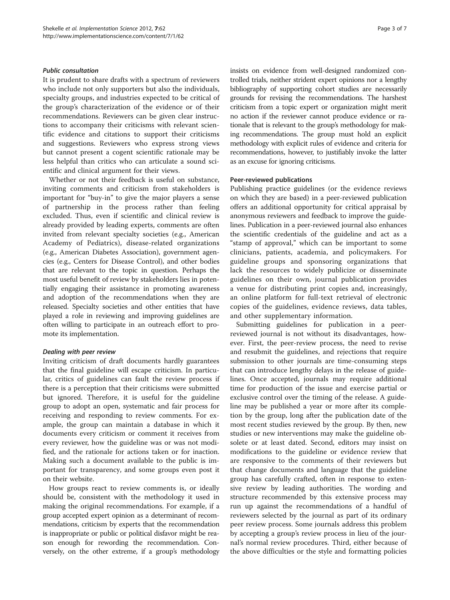## Public consultation

It is prudent to share drafts with a spectrum of reviewers who include not only supporters but also the individuals, specialty groups, and industries expected to be critical of the group's characterization of the evidence or of their recommendations. Reviewers can be given clear instructions to accompany their criticisms with relevant scientific evidence and citations to support their criticisms and suggestions. Reviewers who express strong views but cannot present a cogent scientific rationale may be less helpful than critics who can articulate a sound scientific and clinical argument for their views.

Whether or not their feedback is useful on substance, inviting comments and criticism from stakeholders is important for "buy-in" to give the major players a sense of partnership in the process rather than feeling excluded. Thus, even if scientific and clinical review is already provided by leading experts, comments are often invited from relevant specialty societies (e.g., American Academy of Pediatrics), disease-related organizations (e.g., American Diabetes Association), government agencies (e.g., Centers for Disease Control), and other bodies that are relevant to the topic in question. Perhaps the most useful benefit of review by stakeholders lies in potentially engaging their assistance in promoting awareness and adoption of the recommendations when they are released. Specialty societies and other entities that have played a role in reviewing and improving guidelines are often willing to participate in an outreach effort to promote its implementation.

## Dealing with peer review

Inviting criticism of draft documents hardly guarantees that the final guideline will escape criticism. In particular, critics of guidelines can fault the review process if there is a perception that their criticisms were submitted but ignored. Therefore, it is useful for the guideline group to adopt an open, systematic and fair process for receiving and responding to review comments. For example, the group can maintain a database in which it documents every criticism or comment it receives from every reviewer, how the guideline was or was not modified, and the rationale for actions taken or for inaction. Making such a document available to the public is important for transparency, and some groups even post it on their website.

How groups react to review comments is, or ideally should be, consistent with the methodology it used in making the original recommendations. For example, if a group accepted expert opinion as a determinant of recommendations, criticism by experts that the recommendation is inappropriate or public or political disfavor might be reason enough for rewording the recommendation. Conversely, on the other extreme, if a group's methodology insists on evidence from well-designed randomized controlled trials, neither strident expert opinions nor a lengthy bibliography of supporting cohort studies are necessarily grounds for revising the recommendations. The harshest criticism from a topic expert or organization might merit no action if the reviewer cannot produce evidence or rationale that is relevant to the group's methodology for making recommendations. The group must hold an explicit methodology with explicit rules of evidence and criteria for recommendations, however, to justifiably invoke the latter as an excuse for ignoring criticisms.

#### Peer-reviewed publications

Publishing practice guidelines (or the evidence reviews on which they are based) in a peer-reviewed publication offers an additional opportunity for critical appraisal by anonymous reviewers and feedback to improve the guidelines. Publication in a peer-reviewed journal also enhances the scientific credentials of the guideline and act as a "stamp of approval," which can be important to some clinicians, patients, academia, and policymakers. For guideline groups and sponsoring organizations that lack the resources to widely publicize or disseminate guidelines on their own, journal publication provides a venue for distributing print copies and, increasingly, an online platform for full-text retrieval of electronic copies of the guidelines, evidence reviews, data tables, and other supplementary information.

Submitting guidelines for publication in a peerreviewed journal is not without its disadvantages, however. First, the peer-review process, the need to revise and resubmit the guidelines, and rejections that require submission to other journals are time-consuming steps that can introduce lengthy delays in the release of guidelines. Once accepted, journals may require additional time for production of the issue and exercise partial or exclusive control over the timing of the release. A guideline may be published a year or more after its completion by the group, long after the publication date of the most recent studies reviewed by the group. By then, new studies or new interventions may make the guideline obsolete or at least dated. Second, editors may insist on modifications to the guideline or evidence review that are responsive to the comments of their reviewers but that change documents and language that the guideline group has carefully crafted, often in response to extensive review by leading authorities. The wording and structure recommended by this extensive process may run up against the recommendations of a handful of reviewers selected by the journal as part of its ordinary peer review process. Some journals address this problem by accepting a group's review process in lieu of the journal's normal review procedures. Third, either because of the above difficulties or the style and formatting policies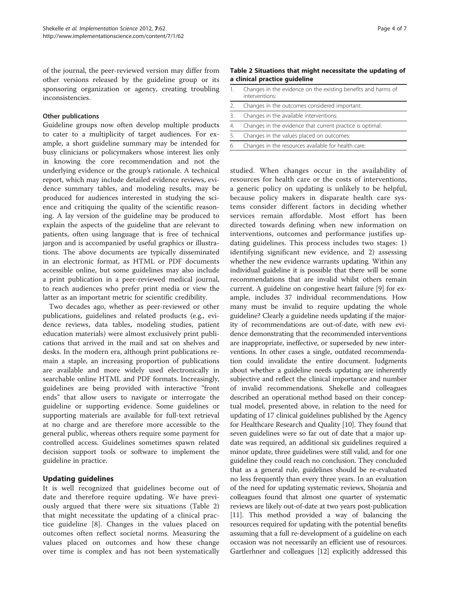of the journal, the peer-reviewed version may differ from other versions released by the guideline group or its sponsoring organization or agency, creating troubling inconsistencies.

#### Other publications

Guideline groups now often develop multiple products to cater to a multiplicity of target audiences. For example, a short guideline summary may be intended for busy clinicians or policymakers whose interest lies only in knowing the core recommendation and not the underlying evidence or the group's rationale. A technical report, which may include detailed evidence reviews, evidence summary tables, and modeling results, may be produced for audiences interested in studying the science and critiquing the quality of the scientific reasoning. A lay version of the guideline may be produced to explain the aspects of the guideline that are relevant to patients, often using language that is free of technical jargon and is accompanied by useful graphics or illustrations. The above documents are typically disseminated in an electronic format, as HTML or PDF documents accessible online, but some guidelines may also include a print publication in a peer-reviewed medical journal, to reach audiences who prefer print media or view the latter as an important metric for scientific credibility.

Two decades ago, whether as peer-reviewed or other publications, guidelines and related products (e.g., evidence reviews, data tables, modeling studies, patient education materials) were almost exclusively print publications that arrived in the mail and sat on shelves and desks. In the modern era, although print publications remain a staple, an increasing proportion of publications are available and more widely used electronically in searchable online HTML and PDF formats. Increasingly, guidelines are being provided with interactive "front ends" that allow users to navigate or interrogate the guideline or supporting evidence. Some guidelines or supporting materials are available for full-text retrieval at no charge and are therefore more accessible to the general public, whereas others require some payment for controlled access. Guidelines sometimes spawn related decision support tools or software to implement the guideline in practice.

## Updating guidelines

It is well recognized that guidelines become out of date and therefore require updating. We have previously argued that there were six situations (Table 2) that might necessitate the updating of a clinical practice guideline [[8\]](#page-6-0). Changes in the values placed on outcomes often reflect societal norms. Measuring the values placed on outcomes and how these change over time is complex and has not been systematically

Table 2 Situations that might necessitate the updating of a clinical practice guideline

|   | Changes in the evidence on the existing benefits and harms of<br>interventions: |
|---|---------------------------------------------------------------------------------|
|   | Changes in the outcomes considered important:                                   |
|   | Changes in the available interventions:                                         |
| 4 | Changes in the evidence that current practice is optimal:                       |
| 5 | Changes in the values placed on outcomes:                                       |
| 6 | Changes in the resources available for health care:                             |
|   |                                                                                 |

studied. When changes occur in the availability of resources for health care or the costs of interventions, a generic policy on updating is unlikely to be helpful, because policy makers in disparate health care systems consider different factors in deciding whether services remain affordable. Most effort has been directed towards defining when new information on interventions, outcomes and performance justifies updating guidelines. This process includes two stages: 1) identifying significant new evidence, and 2) assessing whether the new evidence warrants updating. Within any individual guideline it is possible that there will be some recommendations that are invalid whilst others remain current. A guideline on congestive heart failure [[9\]](#page-6-0) for example, includes 37 individual recommendations. How many must be invalid to require updating the whole guideline? Clearly a guideline needs updating if the majority of recommendations are out-of-date, with new evidence demonstrating that the recommended interventions are inappropriate, ineffective, or superseded by new interventions. In other cases a single, outdated recommendation could invalidate the entire document. Judgments about whether a guideline needs updating are inherently subjective and reflect the clinical importance and number of invalid recommendations. Shekelle and colleagues described an operational method based on their conceptual model, presented above, in relation to the need for updating of 17 clinical guidelines published by the Agency for Healthcare Research and Quality [\[10\]](#page-6-0). They found that seven guidelines were so far out of date that a major update was required, an additional six guidelines required a minor update, three guidelines were still valid, and for one guideline they could reach no conclusion. They concluded that as a general rule, guidelines should be re-evaluated no less frequently than every three years. In an evaluation of the need for updating systematic reviews, Shojania and colleagues found that almost one quarter of systematic reviews are likely out-of-date at two years post-publication [[11](#page-6-0)]. This method provided a way of balancing the resources required for updating with the potential benefits assuming that a full re-development of a guideline on each occasion was not necessarily an efficient use of resources. Gartlerhner and colleagues [\[12\]](#page-6-0) explicitly addressed this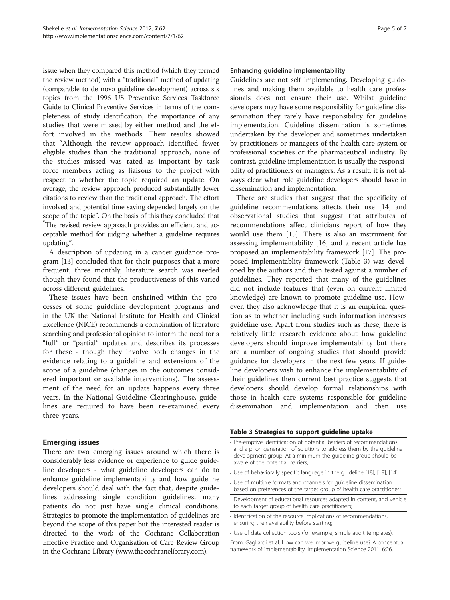<span id="page-4-0"></span>issue when they compared this method (which they termed the review method) with a "traditional" method of updating (comparable to de novo guideline development) across six topics from the 1996 US Preventive Services Taskforce Guide to Clinical Preventive Services in terms of the completeness of study identification, the importance of any studies that were missed by either method and the effort involved in the methods. Their results showed that "Although the review approach identified fewer eligible studies than the traditional approach, none of the studies missed was rated as important by task force members acting as liaisons to the project with respect to whether the topic required an update. On average, the review approach produced substantially fewer citations to review than the traditional approach. The effort involved and potential time saving depended largely on the scope of the topic". On the basis of this they concluded that The revised review approach provides an efficient and acceptable method for judging whether a guideline requires updating".

A description of updating in a cancer guidance program [\[13\]](#page-6-0) concluded that for their purposes that a more frequent, three monthly, literature search was needed though they found that the productiveness of this varied across different guidelines.

These issues have been enshrined within the processes of some guideline development programs and in the UK the National Institute for Health and Clinical Excellence (NICE) recommends a combination of literature searching and professional opinion to inform the need for a "full" or "partial" updates and describes its processes for these - though they involve both changes in the evidence relating to a guideline and extensions of the scope of a guideline (changes in the outcomes considered important or available interventions). The assessment of the need for an update happens every three years. In the National Guideline Clearinghouse, guidelines are required to have been re-examined every three years.

## Emerging issues

There are two emerging issues around which there is considerably less evidence or experience to guide guideline developers - what guideline developers can do to enhance guideline implementability and how guideline developers should deal with the fact that, despite guidelines addressing single condition guidelines, many patients do not just have single clinical conditions. Strategies to promote the implementation of guidelines are beyond the scope of this paper but the interested reader is directed to the work of the Cochrane Collaboration Effective Practice and Organisation of Care Review Group in the Cochrane Library [\(www.thecochranelibrary.com](http://www.thecochranelibrary.com)).

## Enhancing guideline implementability

Guidelines are not self implementing. Developing guidelines and making them available to health care professionals does not ensure their use. Whilst guideline developers may have some responsibility for guideline dissemination they rarely have responsibility for guideline implementation. Guideline dissemination is sometimes undertaken by the developer and sometimes undertaken by practitioners or managers of the health care system or professional societies or the pharmaceutical industry. By contrast, guideline implementation is usually the responsibility of practitioners or managers. As a result, it is not always clear what role guideline developers should have in dissemination and implementation.

There are studies that suggest that the specificity of guideline recommendations affects their use [\[14\]](#page-6-0) and observational studies that suggest that attributes of recommendations affect clinicians report of how they would use them [[15\]](#page-6-0). There is also an instrument for assessing implementability [[16](#page-6-0)] and a recent article has proposed an implementability framework [[17](#page-6-0)]. The proposed implementablity framework (Table 3) was developed by the authors and then tested against a number of guidelines. They reported that many of the guidelines did not include features that (even on current limited knowledge) are known to promote guideline use. However, they also acknowledge that it is an empirical question as to whether including such information increases guideline use. Apart from studies such as these, there is relatively little research evidence about how guideline developers should improve implementability but there are a number of ongoing studies that should provide guidance for developers in the next few years. If guideline developers wish to enhance the implementability of their guidelines then current best practice suggests that developers should develop formal relationships with those in health care systems responsible for guideline dissemination and implementation and then use

|  | Table 3 Strategies to support guideline uptake |  |  |  |  |
|--|------------------------------------------------|--|--|--|--|
|--|------------------------------------------------|--|--|--|--|

- Pre-emptive identification of potential barriers of recommendations, and a priori generation of solutions to address them by the guideline development group. At a minimum the guideline group should be aware of the potential barriers;
- Use of behaviorally specific language in the guideline [[18\]](#page-6-0), [\[19](#page-6-0)], [[14\]](#page-6-0);
- Use of multiple formats and channels for guideline dissemination based on preferences of the target group of health care practitioners;
- Development of educational resources adapted in content, and vehicle to each target group of health care practitioners;
- Identification of the resource implications of recommendations, ensuring their availability before starting;

• Use of data collection tools (for example, simple audit templates).

From: Gagliardi et al. How can we improve guideline use? A conceptual framework of implementability. Implementation Science 2011, 6:26.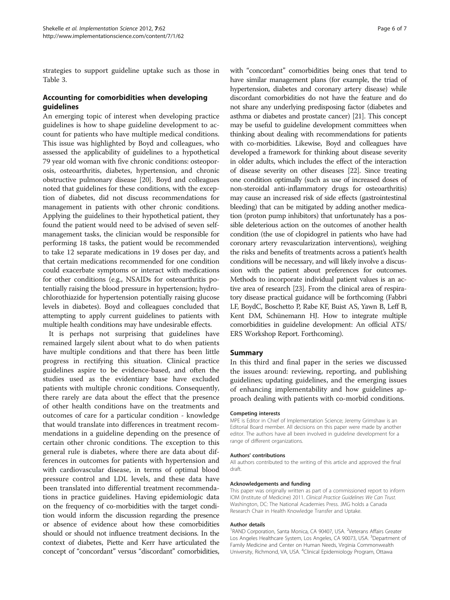strategies to support guideline uptake such as those in Table [3.](#page-4-0)

## Accounting for comorbidities when developing guidelines

An emerging topic of interest when developing practice guidelines is how to shape guideline development to account for patients who have multiple medical conditions. This issue was highlighted by Boyd and colleagues, who assessed the applicability of guidelines to a hypothetical 79 year old woman with five chronic conditions: osteoporosis, osteoarthritis, diabetes, hypertension, and chronic obstructive pulmonary disease [[20](#page-6-0)]. Boyd and colleagues noted that guidelines for these conditions, with the exception of diabetes, did not discuss recommendations for management in patients with other chronic conditions. Applying the guidelines to their hypothetical patient, they found the patient would need to be advised of seven selfmanagement tasks, the clinician would be responsible for performing 18 tasks, the patient would be recommended to take 12 separate medications in 19 doses per day, and that certain medications recommended for one condition could exacerbate symptoms or interact with medications for other conditions (e.g., NSAIDs for osteoarthritis potentially raising the blood pressure in hypertension; hydrochlorothiazide for hypertension potentially raising glucose levels in diabetes). Boyd and colleagues concluded that attempting to apply current guidelines to patients with multiple health conditions may have undesirable effects.

It is perhaps not surprising that guidelines have remained largely silent about what to do when patients have multiple conditions and that there has been little progress in rectifying this situation. Clinical practice guidelines aspire to be evidence-based, and often the studies used as the evidentiary base have excluded patients with multiple chronic conditions. Consequently, there rarely are data about the effect that the presence of other health conditions have on the treatments and outcomes of care for a particular condition - knowledge that would translate into differences in treatment recommendations in a guideline depending on the presence of certain other chronic conditions. The exception to this general rule is diabetes, where there are data about differences in outcomes for patients with hypertension and with cardiovascular disease, in terms of optimal blood pressure control and LDL levels, and these data have been translated into differential treatment recommendations in practice guidelines. Having epidemiologic data on the frequency of co-morbidities with the target condition would inform the discussion regarding the presence or absence of evidence about how these comorbidities should or should not influence treatment decisions. In the context of diabetes, Piette and Kerr have articulated the concept of "concordant" versus "discordant" comorbidities,

with "concordant" comorbidities being ones that tend to have similar management plans (for example, the triad of hypertension, diabetes and coronary artery disease) while discordant comorbidities do not have the feature and do not share any underlying predisposing factor (diabetes and asthma or diabetes and prostate cancer) [[21\]](#page-6-0). This concept may be useful to guideline development committees when thinking about dealing with recommendations for patients with co-morbidities. Likewise, Boyd and colleagues have developed a framework for thinking about disease severity in older adults, which includes the effect of the interaction of disease severity on other diseases [\[22\]](#page-6-0). Since treating one condition optimally (such as use of increased doses of non-steroidal anti-inflammatory drugs for osteoarthritis) may cause an increased risk of side effects (gastrointestinal bleeding) that can be mitigated by adding another medication (proton pump inhibitors) that unfortunately has a possible deleterious action on the outcomes of another health condition (the use of clopidogrel in patients who have had coronary artery revascularization interventions), weighing the risks and benefits of treatments across a patient's health conditions will be necessary, and will likely involve a discussion with the patient about preferences for outcomes. Methods to incorporate individual patient values is an active area of research [\[23\]](#page-6-0). From the clinical area of respiratory disease practical guidance will be forthcoming (Fabbri LF, BoydC, Boschetto P, Rabe KF, Buist AS, Yawn B, Leff B, Kent DM, Schünemann HJ. How to integrate multiple comorbidities in guideline development: An official ATS/ ERS Workshop Report. Forthcoming).

## Summary

In this third and final paper in the series we discussed the issues around: reviewing, reporting, and publishing guidelines; updating guidelines, and the emerging issues of enhancing implementability and how guidelines approach dealing with patients with co-morbid conditions.

#### Competing interests

MPE is Editor in Chief of Implementation Science; Jeremy Grimshaw is an Editorial Board member. All decisions on this paper were made by another editor. The authors have all been involved in guideline development for a range of different organizations.

#### Authors' contributions

All authors contributed to the writing of this article and approved the final draft.

#### Acknowledgements and funding

This paper was originally written as part of a commissioned report to inform IOM (Institute of Medicine) 2011. Clinical Practice Guidelines We Can Trust. Washington, DC: The National Academies Press. JMG holds a Canada Research Chair in Health Knowledge Transfer and Uptake.

#### Author details

<sup>1</sup>RAND Corporation, Santa Monica, CA 90407, USA. <sup>2</sup>Veterans Affairs Greater Los Angeles Healthcare System, Los Angeles, CA 90073, USA. <sup>3</sup>Department of Family Medicine and Center on Human Needs, Virginia Commonwealth University, Richmond, VA, USA. <sup>4</sup>Clinical Epidemiology Program, Ottawa